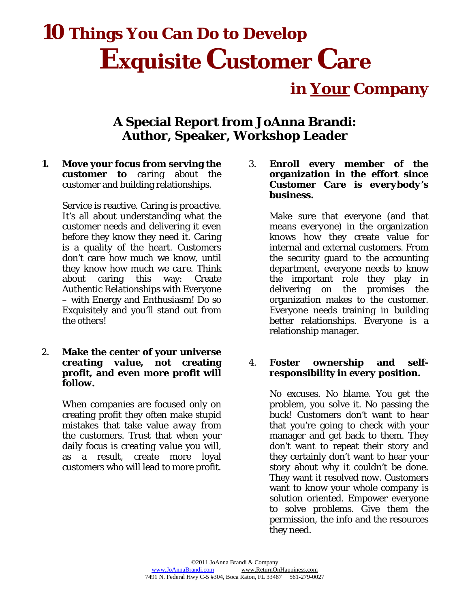# **10 Things You Can Do to Develop Exquisite Customer Care**

 **in Your Company** 

## **A Special Report from JoAnna Brandi: Author, Speaker, Workshop Leader**

**1. Move your focus from serving the customer to** *caring* about the customer and building relationships.

> Service is reactive. Caring is *proactive*. It's all about understanding what the customer needs and delivering it even before they know they need it. Caring is a quality of the heart. Customers don't care how much we know, until they know how much we *care*. Think about caring this way: Create Authentic Relationships with Everyone – with Energy and Enthusiasm! Do so Exquisitely and you'll stand out from the others!

2. **Make the center of your universe**  *creating value,* **not creating profit, and even more profit will follow.**

> When companies are focused only on creating profit they often make stupid mistakes that take value *away* from the customers. Trust that when your daily focus is *creating value* you will, as a result, create more loyal customers who will lead to more profit.

3. **Enroll every member of the organization in the effort since Customer Care is** *everybody's business***.** 

> Make sure that everyone (and that means *everyone*) in the organization knows how they create value for internal and external customers. From the security guard to the accounting department, everyone needs to know the important role they play in delivering on the promises the organization makes to the customer. Everyone needs training in building better relationships. Everyone is a relationship manager.

#### 4. **Foster ownership and selfresponsibility in** *every* **position.**

 No excuses. No blame. You get the problem, you solve it. No passing the buck! Customers don't want to hear that you're going to check with your manager and get back to them. They don't want to repeat their story and they certainly don't want to hear your story about why it couldn't be done. They want it resolved *now*. Customers want to know your whole company is solution oriented. Empower everyone to solve problems. Give them the permission, the info and the resources they need.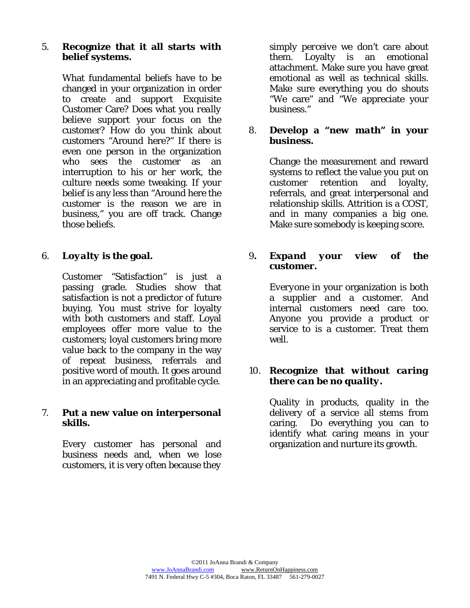#### 5. **Recognize that it all starts with belief systems.**

 What fundamental beliefs have to be changed in your organization in order to create and support Exquisite Customer Care? Does what you *really believe* support your focus on the customer? How do you think about customers "Around here?" If there is even one person in the organization who sees the customer as an interruption to his or her work, the culture needs some tweaking. If your belief is any less than "Around here the customer is the reason we are in business," you are off track. Change those beliefs.

#### 6. *Loyalty* **is the goal.**

 Customer "Satisfaction" is just a passing grade. Studies show that satisfaction is *not* a predictor of future buying. You must strive for loyalty with both customers *and* staff. Loyal employees offer more value to the customers; loyal customers bring more value back to the company in the way of repeat business, referrals and positive word of mouth. It goes around in an appreciating and profitable cycle.

#### 7. **Put a new value on interpersonal skills.**

 Every customer has personal and business needs and, when we lose customers, it is very often because they

 simply *perceive* we don't care about them. Loyalty is an *emotional* attachment. Make sure you have great emotional as well as technical skills. Make sure everything you do shouts "We care" and "We appreciate your business."

#### 8. **Develop a "***new math***" in your business.**

 Change the measurement and reward systems to reflect the value you put on customer retention and loyalty, referrals, and great interpersonal and relationship skills. Attrition is a COST, and in many companies a big one. Make sure somebody is keeping score.

#### 9**.** *Expand your view* **of the customer.**

 *Everyone* in your organization is both a supplier *and* a customer. And internal customers need care too. Anyone you provide a product or service to is a customer. Treat them well.

#### 10. **Recognize that** *without caring there can be no quality***.**

 Quality in products, quality in the delivery of a service all stems from caring. Do everything you can to identify what caring means in your organization and nurture its growth.